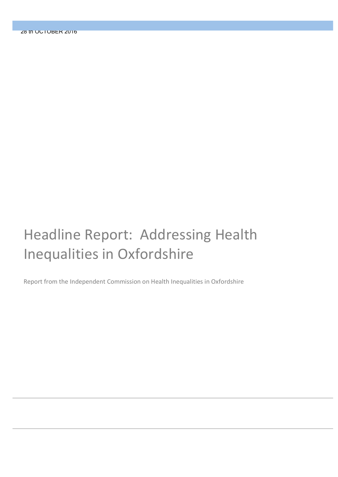# Headline Report: Addressing Health Inequalities in Oxfordshire

Report from the Independent Commission on Health Inequalities in Oxfordshire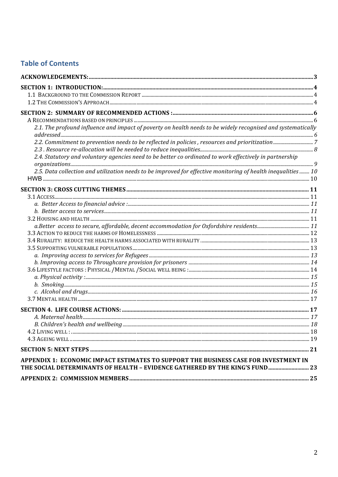# **Table of Contents**

| 2.1. The profound influence and impact of poverty on health needs to be widely recognised and systematically |  |
|--------------------------------------------------------------------------------------------------------------|--|
|                                                                                                              |  |
| 2.2. Commitment to prevention needs to be reflected in policies, resources and prioritization7               |  |
|                                                                                                              |  |
| 2.4. Statutory and voluntary agencies need to be better co ordinated to work effectively in partnership      |  |
| 2.5. Data collection and utilization needs to be improved for effective monitoring of health inequalities 10 |  |
|                                                                                                              |  |
|                                                                                                              |  |
|                                                                                                              |  |
|                                                                                                              |  |
|                                                                                                              |  |
|                                                                                                              |  |
|                                                                                                              |  |
|                                                                                                              |  |
|                                                                                                              |  |
|                                                                                                              |  |
|                                                                                                              |  |
|                                                                                                              |  |
|                                                                                                              |  |
|                                                                                                              |  |
|                                                                                                              |  |
|                                                                                                              |  |
|                                                                                                              |  |
|                                                                                                              |  |
|                                                                                                              |  |
|                                                                                                              |  |
|                                                                                                              |  |
|                                                                                                              |  |
|                                                                                                              |  |
| APPENDIX 1: ECONOMIC IMPACT ESTIMATES TO SUPPORT THE BUSINESS CASE FOR INVESTMENT IN                         |  |
| THE SOCIAL DETERMINANTS OF HEALTH - EVIDENCE GATHERED BY THE KING'S FUND 23                                  |  |
|                                                                                                              |  |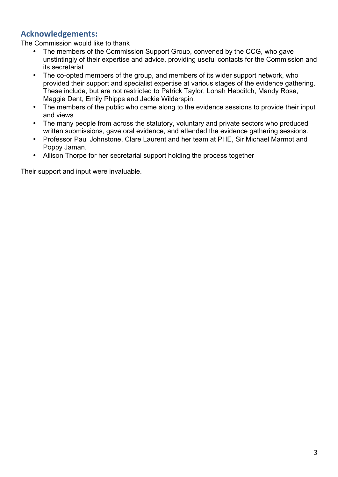# **Acknowledgements:**

The Commission would like to thank

- The members of the Commission Support Group, convened by the CCG, who gave unstintingly of their expertise and advice, providing useful contacts for the Commission and its secretariat
- The co-opted members of the group, and members of its wider support network, who provided their support and specialist expertise at various stages of the evidence gathering. These include, but are not restricted to Patrick Taylor, Lonah Hebditch, Mandy Rose, Maggie Dent, Emily Phipps and Jackie Wilderspin.
- The members of the public who came along to the evidence sessions to provide their input and views
- The many people from across the statutory, voluntary and private sectors who produced written submissions, gave oral evidence, and attended the evidence gathering sessions.
- Professor Paul Johnstone, Clare Laurent and her team at PHE, Sir Michael Marmot and Poppy Jaman.
- Allison Thorpe for her secretarial support holding the process together

Their support and input were invaluable.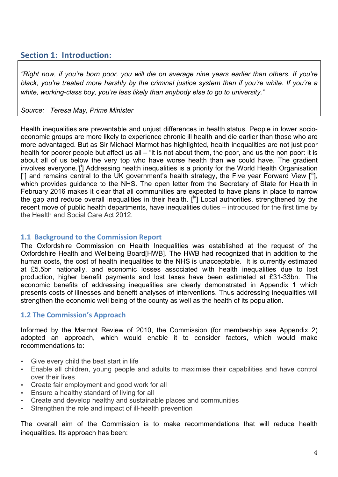# **Section 1: Introduction:**

*"Right now, if you're born poor, you will die on average nine years earlier than others. If you're black, you're treated more harshly by the criminal justice system than if you're white. If you're a white, working-class boy, you're less likely than anybody else to go to university."*

#### *Source: Teresa May, Prime Minister*

Health inequalities are preventable and unjust differences in health status. People in lower socioeconomic groups are more likely to experience chronic ill health and die earlier than those who are more advantaged. But as Sir Michael Marmot has highlighted, health inequalities are not just poor health for poorer people but affect us all – "it is not about them, the poor, and us the non poor: it is about all of us below the very top who have worse health than we could have. The gradient involves everyone.'[<sup>i</sup>] Addressing health inequalities is a priority for the World Health Organisation [ii] and remains central to the UK government's health strategy, the Five year Forward View [iii], which provides quidance to the NHS. The open letter from the Secretary of State for Health in February 2016 makes it clear that all communities are expected to have plans in place to narrow the gap and reduce overall inequalities in their health.  $I^{iv}$  Local authorities, strengthened by the recent move of public health departments, have inequalities duties – introduced for the first time by the Health and Social Care Act 2012.

#### **1.1 Background to the Commission Report**

The Oxfordshire Commission on Health Inequalities was established at the request of the Oxfordshire Health and Wellbeing Board[HWB]. The HWB had recognized that in addition to the human costs, the cost of health inequalities to the NHS is unacceptable. It is currently estimated at £5.5bn nationally, and economic losses associated with health inequalities due to lost production, higher benefit payments and lost taxes have been estimated at £31-33bn. The economic benefits of addressing inequalities are clearly demonstrated in Appendix 1 which presents costs of illnesses and benefit analyses of interventions. Thus addressing inequalities will strengthen the economic well being of the county as well as the health of its population.

## **1.2 The Commission's Approach**

Informed by the Marmot Review of 2010, the Commission (for membership see Appendix 2) adopted an approach, which would enable it to consider factors, which would make recommendations to:

- Give every child the best start in life
- Enable all children, young people and adults to maximise their capabilities and have control over their lives
- Create fair employment and good work for all
- Ensure a healthy standard of living for all
- Create and develop healthy and sustainable places and communities
- Strengthen the role and impact of ill-health prevention

The overall aim of the Commission is to make recommendations that will reduce health inequalities. Its approach has been: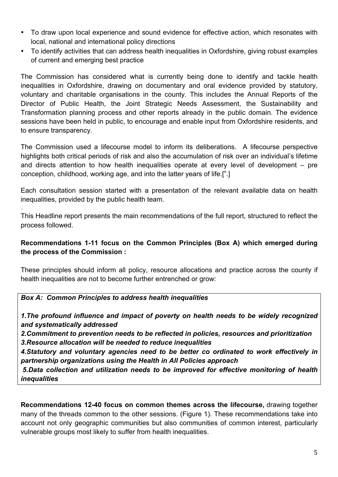- To draw upon local experience and sound evidence for effective action, which resonates with local, national and international policy directions
- To identify activities that can address health inequalities in Oxfordshire, giving robust examples of current and emerging best practice

The Commission has considered what is currently being done to identify and tackle health inequalities in Oxfordshire, drawing on documentary and oral evidence provided by statutory, voluntary and charitable organisations in the county. This includes the Annual Reports of the Director of Public Health, the Joint Strategic Needs Assessment, the Sustainability and Transformation planning process and other reports already in the public domain. The evidence sessions have been held in public, to encourage and enable input from Oxfordshire residents, and to ensure transparency.

The Commission used a lifecourse model to inform its deliberations. A lifecourse perspective highlights both critical periods of risk and also the accumulation of risk over an individual's lifetime and directs attention to how health inequalities operate at every level of development – pre conception, childhood, working age, and into the latter years of life.[ $^{\vee}$ .]

Each consultation session started with a presentation of the relevant available data on health inequalities, provided by the public health team.

This Headline report presents the main recommendations of the full report, structured to reflect the process followed.

#### **Recommendations 1-11 focus on the Common Principles (Box A) which emerged during the process of the Commission :**

These principles should inform all policy, resource allocations and practice across the county if health inequalities are not to become further entrenched or grow:

#### *Box A: Common Principles to address health inequalities*

.

*1.The profound influence and impact of poverty on health needs to be widely recognized and systematically addressed*

*2.Commitment to prevention needs to be reflected in policies, resources and prioritization 3.Resource allocation will be needed to reduce inequalities* 

*4.Statutory and voluntary agencies need to be better co ordinated to work effectively in partnership organizations using the Health in All Policies approach*

*5.Data collection and utilization needs to be improved for effective monitoring of health inequalities* 

**Recommendations 12-40 focus on common themes across the lifecourse,** drawing together many of the threads common to the other sessions. (Figure 1). These recommendations take into account not only geographic communities but also communities of common interest, particularly vulnerable groups most likely to suffer from health inequalities.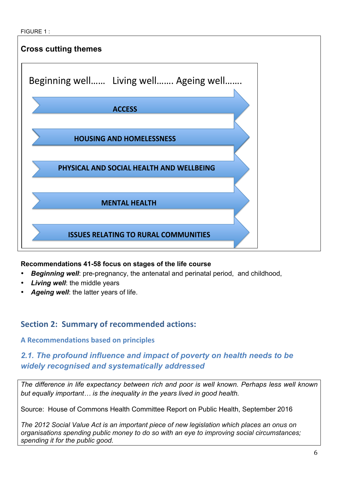

## **Recommendations 41-58 focus on stages of the life course**

- *Beginning well*: pre-pregnancy, the antenatal and perinatal period, and childhood,
- **Living well:** the middle years
- Ageing well: the latter years of life.

# **Section 2: Summary of recommended actions:**

## **A** Recommendations based on principles

# *2.1. The profound influence and impact of poverty on health needs to be widely recognised and systematically addressed*

*The difference in life expectancy between rich and poor is well known. Perhaps less well known but equally important… is the inequality in the years lived in good health.*

Source: House of Commons Health Committee Report on Public Health, September 2016

*The 2012 Social Value Act is an important piece of new legislation which places an onus on organisations spending public money to do so with an eye to improving social circumstances; spending it for the public good.*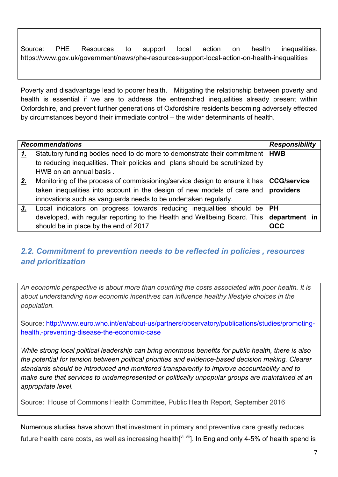Source: PHE Resources to support local action on health inequalities. https://www.gov.uk/government/news/phe-resources-support-local-action-on-health-inequalities

Poverty and disadvantage lead to poorer health. Mitigating the relationship between poverty and health is essential if we are to address the entrenched inequalities already present within Oxfordshire, and prevent further generations of Oxfordshire residents becoming adversely effected by circumstances beyond their immediate control – the wider determinants of health.

|    | <b>Recommendations</b>                                                                   | <b>Responsibility</b> |
|----|------------------------------------------------------------------------------------------|-----------------------|
| 1. | Statutory funding bodies need to do more to demonstrate their commitment                 | <b>HWB</b>            |
|    | to reducing inequalities. Their policies and plans should be scrutinized by              |                       |
|    | HWB on an annual basis.                                                                  |                       |
| 2. | Monitoring of the process of commissioning/service design to ensure it has   CCG/service |                       |
|    | taken inequalities into account in the design of new models of care and $ $ providers    |                       |
|    | innovations such as vanguards needs to be undertaken regularly.                          |                       |
| 3. | Local indicators on progress towards reducing inequalities should be                     | l PH                  |
|    | developed, with regular reporting to the Health and Wellbeing Board. This                | department in         |
|    | should be in place by the end of 2017                                                    | <b>OCC</b>            |

# *2.2. Commitment to prevention needs to be reflected in policies , resources and prioritization*

*An economic perspective is about more than counting the costs associated with poor health. It is about understanding how economic incentives can influence healthy lifestyle choices in the population.* 

Source: http://www.euro.who.int/en/about-us/partners/observatory/publications/studies/promotinghealth,-preventing-disease-the-economic-case

*While strong local political leadership can bring enormous benefits for public health, there is also the potential for tension between political priorities and evidence-based decision making. Clearer standards should be introduced and monitored transparently to improve accountability and to make sure that services to underrepresented or politically unpopular groups are maintained at an appropriate level.*

Source: House of Commons Health Committee, Public Health Report, September 2016

Numerous studies have shown that investment in primary and preventive care greatly reduces future health care costs, as well as increasing health[ $\mathrm{v}^{\mathrm{i} \text{ vi}}$ ]. In England only 4-5% of health spend is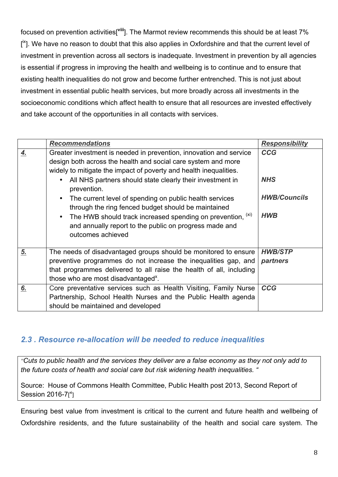focused on prevention activities[<sup>viii</sup>]. The Marmot review recommends this should be at least 7% [<sup>ix</sup>]. We have no reason to doubt that this also applies in Oxfordshire and that the current level of investment in prevention across all sectors is inadequate. Investment in prevention by all agencies is essential if progress in improving the health and wellbeing is to continue and to ensure that existing health inequalities do not grow and become further entrenched. This is not just about investment in essential public health services, but more broadly across all investments in the socioeconomic conditions which affect health to ensure that all resources are invested effectively and take account of the opportunities in all contacts with services.

|    | <b>Recommendations</b>                                                                                                                                                                                                                                                                                | <b>Responsibility</b>             |
|----|-------------------------------------------------------------------------------------------------------------------------------------------------------------------------------------------------------------------------------------------------------------------------------------------------------|-----------------------------------|
| 4. | Greater investment is needed in prevention, innovation and service<br>design both across the health and social care system and more<br>widely to mitigate the impact of poverty and health inequalities.<br>All NHS partners should state clearly their investment in<br>$\bullet$                    | <b>CCG</b><br><b>NHS</b>          |
|    | prevention.<br>The current level of spending on public health services<br>$\bullet$<br>through the ring fenced budget should be maintained<br>The HWB should track increased spending on prevention, (xi)<br>$\bullet$<br>and annually report to the public on progress made and<br>outcomes achieved | <b>HWB/Councils</b><br><b>HWB</b> |
| 5. | The needs of disadvantaged groups should be monitored to ensure<br>preventive programmes do not increase the inequalities gap, and<br>that programmes delivered to all raise the health of all, including<br>those who are most disadvantaged <sup>x</sup> .                                          | <b>HWB/STP</b><br>partners        |
| 6. | Core preventative services such as Health Visiting, Family Nurse<br>Partnership, School Health Nurses and the Public Health agenda<br>should be maintained and developed                                                                                                                              | <b>CCG</b>                        |

## *2.3 . Resource re-allocation will be needed to reduce inequalities*

*''Cuts to public health and the services they deliver are a false economy as they not only add to the future costs of health and social care but risk widening health inequalities. "*

Source: House of Commons Health Committee, Public Health post 2013, Second Report of Session 2016-7[<sup>xi</sup>]

Ensuring best value from investment is critical to the current and future health and wellbeing of Oxfordshire residents, and the future sustainability of the health and social care system. The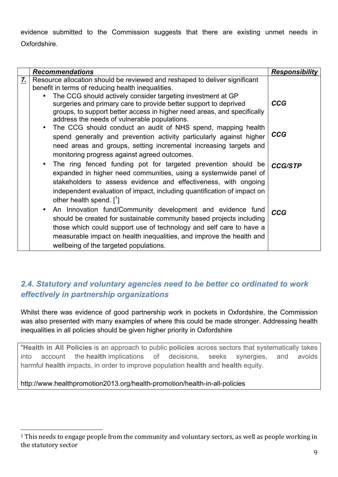evidence submitted to the Commission suggests that there are existing unmet needs in Oxfordshire.

|    | <b>Recommendations</b>                                                                                                                                                                                                                                                                                                                                                                                                                                                                                                                                                                                                                                                                | <b>Responsibility</b>        |
|----|---------------------------------------------------------------------------------------------------------------------------------------------------------------------------------------------------------------------------------------------------------------------------------------------------------------------------------------------------------------------------------------------------------------------------------------------------------------------------------------------------------------------------------------------------------------------------------------------------------------------------------------------------------------------------------------|------------------------------|
| 7. | Resource allocation should be reviewed and reshaped to deliver significant<br>benefit in terms of reducing health inequalities.<br>The CCG should actively consider targeting investment at GP<br>$\bullet$<br>surgeries and primary care to provide better support to deprived<br>groups, to support better access in higher need areas, and specifically<br>address the needs of vulnerable populations.<br>The CCG should conduct an audit of NHS spend, mapping health<br>spend generally and prevention activity particularly against higher<br>need areas and groups, setting incremental increasing targets and<br>monitoring progress against agreed outcomes.                | <b>CCG</b><br>CCG            |
|    | The ring fenced funding pot for targeted prevention should be<br>$\bullet$<br>expanded in higher need communities, using a systemwide panel of<br>stakeholders to assess evidence and effectiveness, with ongoing<br>independent evaluation of impact, including quantification of impact on<br>other health spend. $\lceil \cdot \rceil$<br>An Innovation fund/Community development and evidence fund<br>$\bullet$<br>should be created for sustainable community based projects including<br>those which could support use of technology and self care to have a<br>measurable impact on health inequalities, and improve the health and<br>wellbeing of the targeted populations. | <b>CCG/STP</b><br><b>CCG</b> |

# *2.4. Statutory and voluntary agencies need to be better co ordinated to work effectively in partnership organizations*

Whilst there was evidence of good partnership work in pockets in Oxfordshire, the Commission was also presented with many examples of where this could be made stronger. Addressing health inequalities in all policies should be given higher priority in Oxfordshire

"**Health in All Policies** is an approach to public **policies** across sectors that systematically takes into account the **health** implications of decisions, seeks synergies, and avoids harmful **health** impacts, in order to improve population **health** and **health** equity.

http://www.healthpromotion2013.org/health-promotion/health-in-all-policies

 

 $1$  This needs to engage people from the community and voluntary sectors, as well as people working in the statutory sector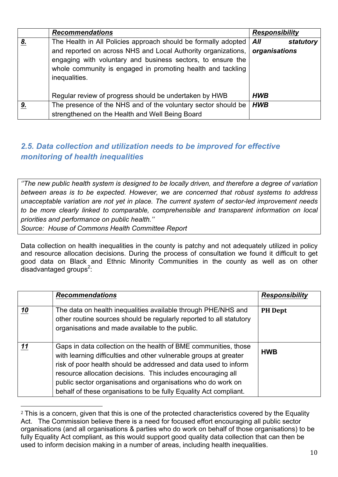|    | <b>Recommendations</b>                                                                                                                                                                                                                                                         | <b>Responsibility</b>             |
|----|--------------------------------------------------------------------------------------------------------------------------------------------------------------------------------------------------------------------------------------------------------------------------------|-----------------------------------|
| 8. | The Health in All Policies approach should be formally adopted<br>and reported on across NHS and Local Authority organizations,<br>engaging with voluntary and business sectors, to ensure the<br>whole community is engaged in promoting health and tackling<br>inequalities. | All<br>statutory<br>organisations |
|    | Regular review of progress should be undertaken by HWB                                                                                                                                                                                                                         | <b>HWB</b>                        |
| 9. | The presence of the NHS and of the voluntary sector should be<br>strengthened on the Health and Well Being Board                                                                                                                                                               | <b>HWB</b>                        |

# *2.5. Data collection and utilization needs to be improved for effective monitoring of health inequalities*

*''The new public health system is designed to be locally driven, and therefore a degree of variation between areas is to be expected. However, we are concerned that robust systems to address unacceptable variation are not yet in place. The current system of sector-led improvement needs to be more clearly linked to comparable, comprehensible and transparent information on local priorities and performance on public health.''*

*Source: House of Commons Health Committee Report*

 

Data collection on health inequalities in the county is patchy and not adequately utilized in policy and resource allocation decisions. During the process of consultation we found it difficult to get good data on Black and Ethnic Minority Communities in the county as well as on other  $d$ isadvantaged groups<sup>2</sup>:

|    | <b>Recommendations</b>                                                                                                                                                                                                                                                                                                                                                                                       | <b>Responsibility</b> |
|----|--------------------------------------------------------------------------------------------------------------------------------------------------------------------------------------------------------------------------------------------------------------------------------------------------------------------------------------------------------------------------------------------------------------|-----------------------|
| 10 | The data on health inequalities available through PHE/NHS and<br>other routine sources should be regularly reported to all statutory<br>organisations and made available to the public.                                                                                                                                                                                                                      | <b>PH</b> Dept        |
| 11 | Gaps in data collection on the health of BME communities, those<br>with learning difficulties and other vulnerable groups at greater<br>risk of poor health should be addressed and data used to inform<br>resource allocation decisions. This includes encouraging all<br>public sector organisations and organisations who do work on<br>behalf of these organisations to be fully Equality Act compliant. | <b>HWB</b>            |

<sup>&</sup>lt;sup>2</sup> This is a concern, given that this is one of the protected characteristics covered by the Equality Act. The Commission believe there is a need for focused effort encouraging all public sector organisations (and all organisations & parties who do work on behalf of those organisations) to be fully Equality Act compliant, as this would support good quality data collection that can then be used to inform decision making in a number of areas, including health inequalities.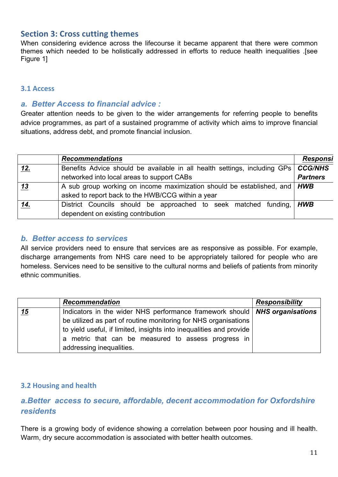## **Section 3: Cross cutting themes**

When considering evidence across the lifecourse it became apparent that there were common themes which needed to be holistically addressed in efforts to reduce health inequalities .[see Figure 1]

#### **3.1 Access**

#### *a. Better Access to financial advice :*

Greater attention needs to be given to the wider arrangements for referring people to benefits advice programmes, as part of a sustained programme of activity which aims to improve financial situations, address debt, and promote financial inclusion.

|     | <b>Recommendations</b>                                                              | <b>Responsi</b> |
|-----|-------------------------------------------------------------------------------------|-----------------|
| 12. | Benefits Advice should be available in all health settings, including GPs   CCG/NHS |                 |
|     | networked into local areas to support CABs                                          | <b>Partners</b> |
| 13  | A sub group working on income maximization should be established, and   HWB         |                 |
|     | asked to report back to the HWB/CCG within a year                                   |                 |
| 14. | District Councils should be approached to seek matched funding, <i>HWB</i>          |                 |
|     | dependent on existing contribution                                                  |                 |

#### *b. Better access to services*

All service providers need to ensure that services are as responsive as possible. For example, discharge arrangements from NHS care need to be appropriately tailored for people who are homeless. Services need to be sensitive to the cultural norms and beliefs of patients from minority ethnic communities.

|    | <b>Recommendation</b>                                                                                                                                                                                                                                                         | <b>Responsibility</b> |
|----|-------------------------------------------------------------------------------------------------------------------------------------------------------------------------------------------------------------------------------------------------------------------------------|-----------------------|
| 15 | Indicators in the wider NHS performance framework should   NHS organisations<br>be utilized as part of routine monitoring for NHS organisations<br>to yield useful, if limited, insights into inequalities and provide<br>a metric that can be measured to assess progress in |                       |
|    | addressing inequalities.                                                                                                                                                                                                                                                      |                       |

#### **3.2 Housing and health**

# *a.Better access to secure, affordable, decent accommodation for Oxfordshire residents*

There is a growing body of evidence showing a correlation between poor housing and ill health. Warm, dry secure accommodation is associated with better health outcomes.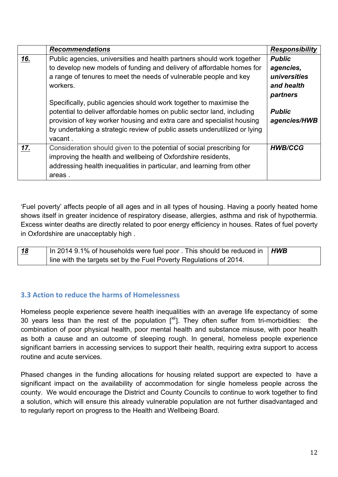|     | <b>Recommendations</b>                                                                                                                                                                                                                                                                                                                                                                                                                                                                                                                            | <b>Responsibility</b>                                                                                 |
|-----|---------------------------------------------------------------------------------------------------------------------------------------------------------------------------------------------------------------------------------------------------------------------------------------------------------------------------------------------------------------------------------------------------------------------------------------------------------------------------------------------------------------------------------------------------|-------------------------------------------------------------------------------------------------------|
| 16. | Public agencies, universities and health partners should work together<br>to develop new models of funding and delivery of affordable homes for<br>a range of tenures to meet the needs of vulnerable people and key<br>workers.<br>Specifically, public agencies should work together to maximise the<br>potential to deliver affordable homes on public sector land, including<br>provision of key worker housing and extra care and specialist housing<br>by undertaking a strategic review of public assets underutilized or lying<br>vacant. | <b>Public</b><br>agencies,<br>universities<br>and health<br>partners<br><b>Public</b><br>agencies/HWB |
| 17. | Consideration should given to the potential of social prescribing for<br>improving the health and wellbeing of Oxfordshire residents,<br>addressing health inequalities in particular, and learning from other<br>areas.                                                                                                                                                                                                                                                                                                                          | <b>HWB/CCG</b>                                                                                        |

'Fuel poverty' affects people of all ages and in all types of housing. Having a poorly heated home shows itself in greater incidence of respiratory disease, allergies, asthma and risk of hypothermia. Excess winter deaths are directly related to poor energy efficiency in houses. Rates of fuel poverty in Oxfordshire are unacceptably high .

| <u>18</u> | In 2014 9.1% of households were fuel poor . This should be reduced in $\parallel HWB$ |  |
|-----------|---------------------------------------------------------------------------------------|--|
|           | line with the targets set by the Fuel Poverty Regulations of 2014.                    |  |

#### **3.3** Action to reduce the harms of Homelessness

Homeless people experience severe health inequalities with an average life expectancy of some 30 years less than the rest of the population  $\binom{X^{ii}}{b}$ . They often suffer from tri-morbidities: the combination of poor physical health, poor mental health and substance misuse, with poor health as both a cause and an outcome of sleeping rough. In general, homeless people experience significant barriers in accessing services to support their health, requiring extra support to access routine and acute services.

Phased changes in the funding allocations for housing related support are expected to have a significant impact on the availability of accommodation for single homeless people across the county. We would encourage the District and County Councils to continue to work together to find a solution, which will ensure this already vulnerable population are not further disadvantaged and to regularly report on progress to the Health and Wellbeing Board.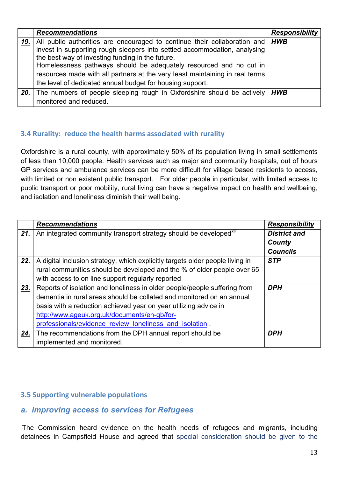|     | <b>Recommendations</b>                                                                                                                                                                                                                                                                                                                                                                                                              | <b>Responsibility</b> |
|-----|-------------------------------------------------------------------------------------------------------------------------------------------------------------------------------------------------------------------------------------------------------------------------------------------------------------------------------------------------------------------------------------------------------------------------------------|-----------------------|
| 19. | All public authorities are encouraged to continue their collaboration and   HWB<br>invest in supporting rough sleepers into settled accommodation, analysing<br>the best way of investing funding in the future.<br>Homelessness pathways should be adequately resourced and no cut in<br>resources made with all partners at the very least maintaining in real terms<br>the level of dedicated annual budget for housing support. |                       |
| 20. | The numbers of people sleeping rough in Oxfordshire should be actively                                                                                                                                                                                                                                                                                                                                                              | <b>HWB</b>            |
|     | monitored and reduced.                                                                                                                                                                                                                                                                                                                                                                                                              |                       |

## **3.4 Rurality: reduce the health harms associated with rurality**

Oxfordshire is a rural county, with approximately 50% of its population living in small settlements of less than 10,000 people. Health services such as major and community hospitals, out of hours GP services and ambulance services can be more difficult for village based residents to access, with limited or non existent public transport. For older people in particular, with limited access to public transport or poor mobility, rural living can have a negative impact on health and wellbeing, and isolation and loneliness diminish their well being.

|     | <b>Recommendations</b>                                                         | <b>Responsibility</b> |
|-----|--------------------------------------------------------------------------------|-----------------------|
| 21. | An integrated community transport strategy should be developed <sup>xill</sup> | <b>District and</b>   |
|     |                                                                                | County                |
|     |                                                                                | <b>Councils</b>       |
| 22. | A digital inclusion strategy, which explicitly targets older people living in  | <b>STP</b>            |
|     | rural communities should be developed and the % of older people over 65        |                       |
|     | with access to on line support regularly reported                              |                       |
| 23. | Reports of isolation and loneliness in older people/people suffering from      | <b>DPH</b>            |
|     | dementia in rural areas should be collated and monitored on an annual          |                       |
|     | basis with a reduction achieved year on year utilizing advice in               |                       |
|     | http://www.ageuk.org.uk/documents/en-gb/for-                                   |                       |
|     | professionals/evidence review loneliness and isolation.                        |                       |
| 24. | The recommendations from the DPH annual report should be                       | <b>DPH</b>            |
|     | implemented and monitored.                                                     |                       |

#### **3.5 Supporting vulnerable populations**

## *a. Improving access to services for Refugees*

The Commission heard evidence on the health needs of refugees and migrants, including detainees in Campsfield House and agreed that special consideration should be given to the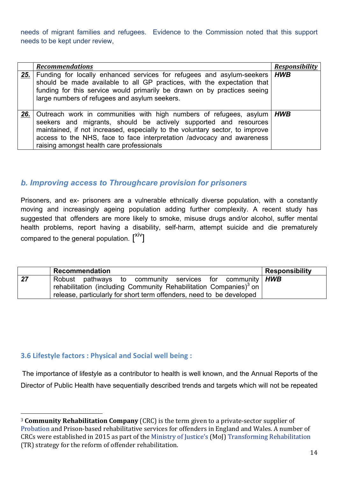needs of migrant families and refugees. Evidence to the Commission noted that this support needs to be kept under review,

|     | <b>Recommendations</b>                                                                                                                                                                                                                                                                                                                              | <b>Responsibility</b> |
|-----|-----------------------------------------------------------------------------------------------------------------------------------------------------------------------------------------------------------------------------------------------------------------------------------------------------------------------------------------------------|-----------------------|
| 25. | Funding for locally enhanced services for refugees and asylum-seekers   HWB<br>should be made available to all GP practices, with the expectation that<br>funding for this service would primarily be drawn on by practices seeing<br>large numbers of refugees and asylum seekers.                                                                 |                       |
| 26. | Outreach work in communities with high numbers of refugees, asylum   HWB<br>seekers and migrants, should be actively supported and resources<br>maintained, if not increased, especially to the voluntary sector, to improve<br>access to the NHS, face to face interpretation /advocacy and awareness<br>raising amongst health care professionals |                       |

## *b. Improving access to Throughcare provision for prisoners*

Prisoners, and ex- prisoners are a vulnerable ethnically diverse population, with a constantly moving and increasingly ageing population adding further complexity. A recent study has suggested that offenders are more likely to smoke, misuse drugs and/or alcohol, suffer mental health problems, report having a disability, self-harm, attempt suicide and die prematurely compared to the general population.  $\textsf{I}^{\textsf{xiv}}\textsf{]}$ 

|    | Recommendation                                                                                                                                               | <b>Responsibility</b> |
|----|--------------------------------------------------------------------------------------------------------------------------------------------------------------|-----------------------|
| 27 | Robust pathways to community services for community <b>HWB</b><br><sup>1</sup> rehabilitation (including Community Rehabilitation Companies) <sup>3</sup> on |                       |
|    | release, particularly for short term offenders, need to be developed                                                                                         |                       |

## **3.6 Lifestyle factors: Physical and Social well being:**

 

The importance of lifestyle as a contributor to health is well known, and the Annual Reports of the Director of Public Health have sequentially described trends and targets which will not be repeated

<sup>&</sup>lt;sup>3</sup> **Community Rehabilitation Company** (CRC) is the term given to a private-sector supplier of Probation and Prison-based rehabilitative services for offenders in England and Wales. A number of CRCs were established in 2015 as part of the Ministry of Justice's (MoJ) Transforming Rehabilitation (TR) strategy for the reform of offender rehabilitation.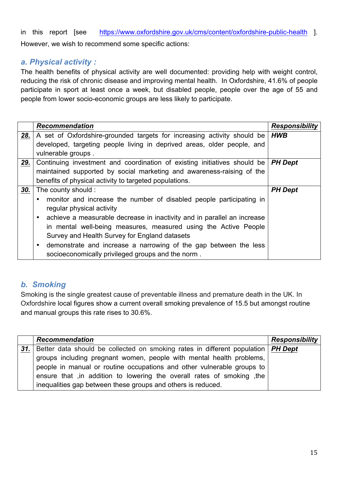in this report [see https://www.oxfordshire.gov.uk/cms/content/oxfordshire-public-health ]. However, we wish to recommend some specific actions:

# *a. Physical activity :*

The health benefits of physical activity are well documented: providing help with weight control, reducing the risk of chronic disease and improving mental health. In Oxfordshire, 41.6% of people participate in sport at least once a week, but disabled people, people over the age of 55 and people from lower socio-economic groups are less likely to participate.

|     | <b>Recommendation</b>                                                                       | <b>Responsibility</b> |
|-----|---------------------------------------------------------------------------------------------|-----------------------|
| 28. | A set of Oxfordshire-grounded targets for increasing activity should be                     | <b>HWB</b>            |
|     | developed, targeting people living in deprived areas, older people, and                     |                       |
|     | vulnerable groups.                                                                          |                       |
| 29. | Continuing investment and coordination of existing initiatives should be $\mathsf{P}H$ Dept |                       |
|     | maintained supported by social marketing and awareness-raising of the                       |                       |
|     | benefits of physical activity to targeted populations.                                      |                       |
| 30. | The county should :                                                                         | <b>PH Dept</b>        |
|     | monitor and increase the number of disabled people participating in                         |                       |
|     | regular physical activity                                                                   |                       |
|     | achieve a measurable decrease in inactivity and in parallel an increase                     |                       |
|     | in mental well-being measures, measured using the Active People                             |                       |
|     | Survey and Health Survey for England datasets                                               |                       |
|     | demonstrate and increase a narrowing of the gap between the less                            |                       |
|     | socioeconomically privileged groups and the norm.                                           |                       |

# *b. Smoking*

Smoking is the single greatest cause of preventable illness and premature death in the UK. In Oxfordshire local figures show a current overall smoking prevalence of 15.5 but amongst routine and manual groups this rate rises to 30.6%.

|     | <b>Recommendation</b>                                                              | <b>Responsibility</b> |
|-----|------------------------------------------------------------------------------------|-----------------------|
| 31. | Better data should be collected on smoking rates in different population   PH Dept |                       |
|     | groups including pregnant women, people with mental health problems,               |                       |
|     | people in manual or routine occupations and other vulnerable groups to             |                       |
|     | ensure that , in addition to lowering the overall rates of smoking, the            |                       |
|     | inequalities gap between these groups and others is reduced.                       |                       |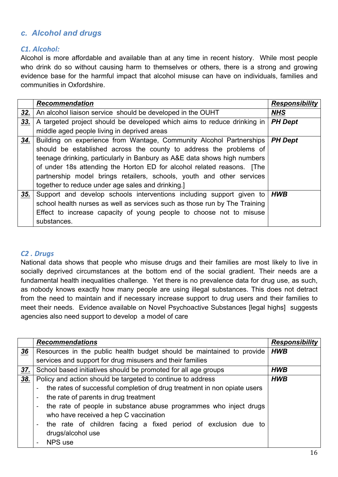# *c. Alcohol and drugs*

#### *C1. Alcohol:*

Alcohol is more affordable and available than at any time in recent history. While most people who drink do so without causing harm to themselves or others, there is a strong and growing evidence base for the harmful impact that alcohol misuse can have on individuals, families and communities in Oxfordshire.

|     | <b>Recommendation</b>                                                      | <b>Responsibility</b> |
|-----|----------------------------------------------------------------------------|-----------------------|
| 32. | An alcohol liaison service should be developed in the OUHT                 | <b>NHS</b>            |
| 33. | A targeted project should be developed which aims to reduce drinking in    | <b>PH Dept</b>        |
|     | middle aged people living in deprived areas                                |                       |
| 34. | Building on experience from Wantage, Community Alcohol Partnerships        | <b>PH Dept</b>        |
|     | should be established across the county to address the problems of         |                       |
|     | teenage drinking, particularly in Banbury as A&E data shows high numbers   |                       |
|     | of under 18s attending the Horton ED for alcohol related reasons. [The     |                       |
|     | partnership model brings retailers, schools, youth and other services      |                       |
|     | together to reduce under age sales and drinking.]                          |                       |
| 35. | Support and develop schools interventions including support given to       | <b>HWB</b>            |
|     | school health nurses as well as services such as those run by The Training |                       |
|     | Effect to increase capacity of young people to choose not to misuse        |                       |
|     | substances.                                                                |                       |

#### *C2 . Drugs*

National data shows that people who misuse drugs and their families are most likely to live in socially deprived circumstances at the bottom end of the social gradient. Their needs are a fundamental health inequalities challenge. Yet there is no prevalence data for drug use, as such, as nobody knows exactly how many people are using illegal substances. This does not detract from the need to maintain and if necessary increase support to drug users and their families to meet their needs. Evidence available on Novel Psychoactive Substances [legal highs] suggests agencies also need support to develop a model of care

|     | <b>Recommendations</b>                                                           | <b>Responsibility</b> |
|-----|----------------------------------------------------------------------------------|-----------------------|
| 36  | Resources in the public health budget should be maintained to provide            | <b>HWB</b>            |
|     | services and support for drug misusers and their families                        |                       |
| 37. | School based initiatives should be promoted for all age groups                   | <b>HWB</b>            |
| 38. | Policy and action should be targeted to continue to address                      | <b>HWB</b>            |
|     | the rates of successful completion of drug treatment in non opiate users         |                       |
|     | the rate of parents in drug treatment                                            |                       |
|     | the rate of people in substance abuse programmes who inject drugs                |                       |
|     | who have received a hep C vaccination                                            |                       |
|     | the rate of children facing a fixed period of exclusion due to<br>$\blacksquare$ |                       |
|     | drugs/alcohol use                                                                |                       |
|     | NPS use                                                                          |                       |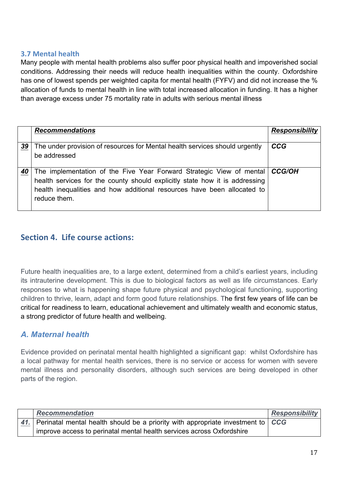#### **3.7 Mental health**

Many people with mental health problems also suffer poor physical health and impoverished social conditions. Addressing their needs will reduce health inequalities within the county. Oxfordshire has one of lowest spends per weighted capita for mental health (FYFV) and did not increase the % allocation of funds to mental health in line with total increased allocation in funding. It has a higher than average excess under 75 mortality rate in adults with serious mental illness

|    | <b>Recommendations</b>                                                                                                                                                                                                                                  | <b>Responsibility</b> |
|----|---------------------------------------------------------------------------------------------------------------------------------------------------------------------------------------------------------------------------------------------------------|-----------------------|
| 39 | The under provision of resources for Mental health services should urgently<br>be addressed                                                                                                                                                             | <b>CCG</b>            |
| 40 | The implementation of the Five Year Forward Strategic View of mental   CCG/OH<br>health services for the county should explicitly state how it is addressing<br>health inequalities and how additional resources have been allocated to<br>reduce them. |                       |

# **Section 4. Life course actions:**

Future health inequalities are, to a large extent, determined from a child's earliest years, including its intrauterine development. This is due to biological factors as well as life circumstances. Early responses to what is happening shape future physical and psychological functioning, supporting children to thrive, learn, adapt and form good future relationships. The first few years of life can be critical for readiness to learn, educational achievement and ultimately wealth and economic status, a strong predictor of future health and wellbeing.

## *A. Maternal health*

Evidence provided on perinatal mental health highlighted a significant gap: whilst Oxfordshire has a local pathway for mental health services, there is no service or access for women with severe mental illness and personality disorders, although such services are being developed in other parts of the region.

| <b>Recommendation</b>                                                               | <b>Responsibility</b> |
|-------------------------------------------------------------------------------------|-----------------------|
| 41. Perinatal mental health should be a priority with appropriate investment to CCG |                       |
| improve access to perinatal mental health services across Oxfordshire               |                       |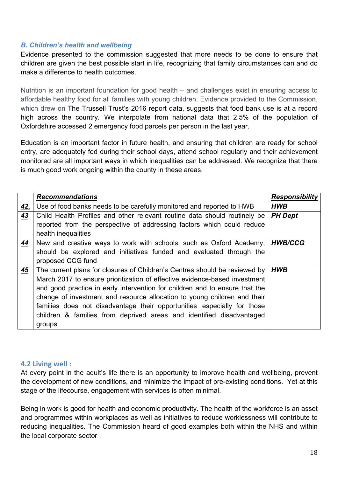#### *B. Children's health and wellbeing*

Evidence presented to the commission suggested that more needs to be done to ensure that children are given the best possible start in life, recognizing that family circumstances can and do make a difference to health outcomes.

Nutrition is an important foundation for good health – and challenges exist in ensuring access to affordable healthy food for all families with young children. Evidence provided to the Commission, which drew on The Trussell Trust's 2016 report data, suggests that food bank use is at a record high across the country**.** We interpolate from national data that 2.5% of the population of Oxfordshire accessed 2 emergency food parcels per person in the last year.

Education is an important factor in future health, and ensuring that children are ready for school entry, are adequately fed during their school days, attend school regularly and their achievement monitored are all important ways in which inequalities can be addressed. We recognize that there is much good work ongoing within the county in these areas.

|     | <b>Recommendations</b>                                                      | <b>Responsibility</b> |
|-----|-----------------------------------------------------------------------------|-----------------------|
| 42. | Use of food banks needs to be carefully monitored and reported to HWB       | <b>HWB</b>            |
| 43  | Child Health Profiles and other relevant routine data should routinely be   | <b>PH Dept</b>        |
|     | reported from the perspective of addressing factors which could reduce      |                       |
|     | health inequalities                                                         |                       |
| 44  | New and creative ways to work with schools, such as Oxford Academy,         | <b>HWB/CCG</b>        |
|     | should be explored and initiatives funded and evaluated through the         |                       |
|     | proposed CCG fund                                                           |                       |
| 45  | The current plans for closures of Children's Centres should be reviewed by  | <b>HWB</b>            |
|     | March 2017 to ensure prioritization of effective evidence-based investment  |                       |
|     | and good practice in early intervention for children and to ensure that the |                       |
|     | change of investment and resource allocation to young children and their    |                       |
|     | families does not disadvantage their opportunities especially for those     |                       |
|     | children & families from deprived areas and identified disadvantaged        |                       |
|     | groups                                                                      |                       |

#### **4.2 Living well :**

At every point in the adult's life there is an opportunity to improve health and wellbeing, prevent the development of new conditions, and minimize the impact of pre-existing conditions. Yet at this stage of the lifecourse, engagement with services is often minimal.

Being in work is good for health and economic productivity. The health of the workforce is an asset and programmes within workplaces as well as initiatives to reduce worklessness will contribute to reducing inequalities. The Commission heard of good examples both within the NHS and within the local corporate sector .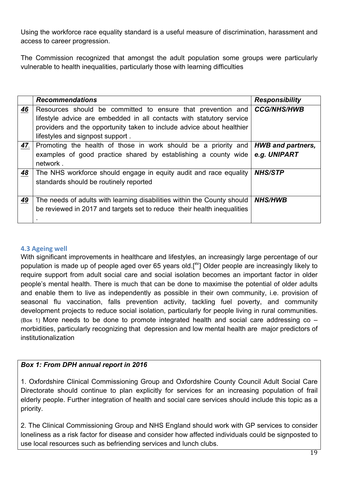Using the workforce race equality standard is a useful measure of discrimination, harassment and access to career progression.

The Commission recognized that amongst the adult population some groups were particularly vulnerable to health inequalities, particularly those with learning difficulties

|     | <b>Recommendations</b>                                                  | <b>Responsibility</b>    |
|-----|-------------------------------------------------------------------------|--------------------------|
| 46  | Resources should be committed to ensure that prevention and             | <b>CCG/NHS/HWB</b>       |
|     | lifestyle advice are embedded in all contacts with statutory service    |                          |
|     | providers and the opportunity taken to include advice about healthier   |                          |
|     | lifestyles and signpost support.                                        |                          |
| 47. | Promoting the health of those in work should be a priority and          | <b>HWB</b> and partners, |
|     | examples of good practice shared by establishing a county wide          | e.g. UNIPART             |
|     | network.                                                                |                          |
| 48  | The NHS workforce should engage in equity audit and race equality       | <b>NHS/STP</b>           |
|     | standards should be routinely reported                                  |                          |
|     |                                                                         |                          |
| 49  | The needs of adults with learning disabilities within the County should | <b>NHS/HWB</b>           |
|     | be reviewed in 2017 and targets set to reduce their health inequalities |                          |
|     |                                                                         |                          |

## **4.3 Ageing well**

With significant improvements in healthcare and lifestyles, an increasingly large percentage of our population is made up of people aged over 65 years old.[<sup>xv</sup>] Older people are increasingly likely to require support from adult social care and social isolation becomes an important factor in older people's mental health. There is much that can be done to maximise the potential of older adults and enable them to live as independently as possible in their own community, i.e. provision of seasonal flu vaccination, falls prevention activity, tackling fuel poverty, and community development projects to reduce social isolation, particularly for people living in rural communities. (Box 1) More needs to be done to promote integrated health and social care addressing  $\text{co}$  – morbidities, particularly recognizing that depression and low mental health are major predictors of institutionalization

## *Box 1: From DPH annual report in 2016*

1. Oxfordshire Clinical Commissioning Group and Oxfordshire County Council Adult Social Care Directorate should continue to plan explicitly for services for an increasing population of frail elderly people. Further integration of health and social care services should include this topic as a priority.

2. The Clinical Commissioning Group and NHS England should work with GP services to consider loneliness as a risk factor for disease and consider how affected individuals could be signposted to use local resources such as befriending services and lunch clubs.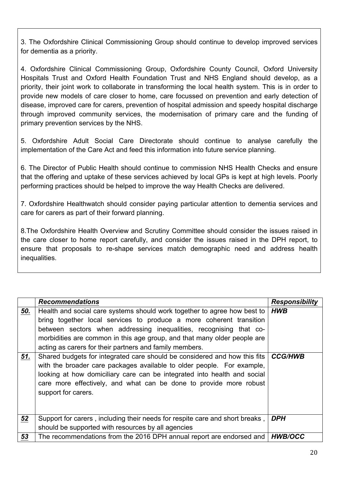3. The Oxfordshire Clinical Commissioning Group should continue to develop improved services for dementia as a priority.

4. Oxfordshire Clinical Commissioning Group, Oxfordshire County Council, Oxford University Hospitals Trust and Oxford Health Foundation Trust and NHS England should develop, as a priority, their joint work to collaborate in transforming the local health system. This is in order to provide new models of care closer to home, care focussed on prevention and early detection of disease, improved care for carers, prevention of hospital admission and speedy hospital discharge through improved community services, the modernisation of primary care and the funding of primary prevention services by the NHS.

5. Oxfordshire Adult Social Care Directorate should continue to analyse carefully the implementation of the Care Act and feed this information into future service planning.

6. The Director of Public Health should continue to commission NHS Health Checks and ensure that the offering and uptake of these services achieved by local GPs is kept at high levels. Poorly performing practices should be helped to improve the way Health Checks are delivered.

7. Oxfordshire Healthwatch should consider paying particular attention to dementia services and care for carers as part of their forward planning.

8.The Oxfordshire Health Overview and Scrutiny Committee should consider the issues raised in the care closer to home report carefully, and consider the issues raised in the DPH report, to ensure that proposals to re-shape services match demographic need and address health inequalities.

|            | <b>Recommendations</b>                                                                                                                                                                                                                                                                                                                                                                                                                                                                                                                                                                                                                                                                       | <b>Responsibility</b>        |
|------------|----------------------------------------------------------------------------------------------------------------------------------------------------------------------------------------------------------------------------------------------------------------------------------------------------------------------------------------------------------------------------------------------------------------------------------------------------------------------------------------------------------------------------------------------------------------------------------------------------------------------------------------------------------------------------------------------|------------------------------|
| 50.<br>51. | Health and social care systems should work together to agree how best to<br>bring together local services to produce a more coherent transition<br>between sectors when addressing inequalities, recognising that co-<br>morbidities are common in this age group, and that many older people are<br>acting as carers for their partners and family members.<br>Shared budgets for integrated care should be considered and how this fits<br>with the broader care packages available to older people. For example,<br>looking at how domiciliary care can be integrated into health and social<br>care more effectively, and what can be done to provide more robust<br>support for carers. | <b>HWB</b><br><b>CCG/HWB</b> |
| 52         | Support for carers, including their needs for respite care and short breaks,<br>should be supported with resources by all agencies                                                                                                                                                                                                                                                                                                                                                                                                                                                                                                                                                           | <b>DPH</b>                   |
| 53         | The recommendations from the 2016 DPH annual report are endorsed and                                                                                                                                                                                                                                                                                                                                                                                                                                                                                                                                                                                                                         | <b>HWB/OCC</b>               |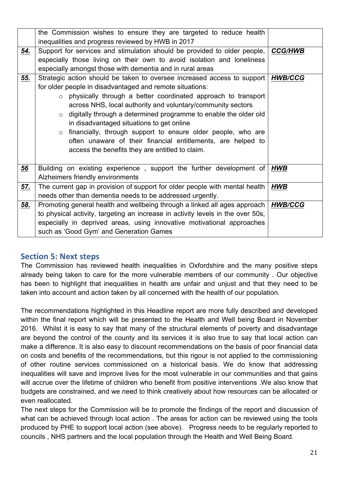|     | the Commission wishes to ensure they are targeted to reduce health              |                |
|-----|---------------------------------------------------------------------------------|----------------|
|     | inequalities and progress reviewed by HWB in 2017                               |                |
| 54. | Support for services and stimulation should be provided to older people,        | <b>CCG/HWB</b> |
|     | especially those living on their own to avoid isolation and loneliness          |                |
|     | especially amongst those with dementia and in rural areas                       |                |
| 55. | Strategic action should be taken to oversee increased access to support         | HWB/CCG        |
|     | for older people in disadvantaged and remote situations:                        |                |
|     | physically through a better coordinated approach to transport<br>$\circ$        |                |
|     | across NHS, local authority and voluntary/community sectors                     |                |
|     | digitally through a determined programme to enable the older old<br>$\circ$     |                |
|     | in disadvantaged situations to get online                                       |                |
|     | financially, through support to ensure older people, who are<br>$\circ$         |                |
|     | often unaware of their financial entitlements, are helped to                    |                |
|     | access the benefits they are entitled to claim.                                 |                |
|     |                                                                                 |                |
| 56  | Building on existing experience, support the further development of $HWE$       |                |
|     | Alzheimers friendly environments                                                |                |
| 57. | The current gap in provision of support for older people with mental health     | <b>HWB</b>     |
|     | needs other than dementia needs to be addressed urgently.                       |                |
| 58. | Promoting general health and wellbeing through a linked all ages approach       | <b>HWB/CCG</b> |
|     | to physical activity, targeting an increase in activity levels in the over 50s, |                |
|     | especially in deprived areas, using innovative motivational approaches          |                |
|     | such as 'Good Gym' and Generation Games                                         |                |

## **Section 5: Next steps**

The Commission has reviewed health inequalities in Oxfordshire and the many positive steps already being taken to care for the more vulnerable members of our community . Our objective has been to highlight that inequalities in health are unfair and unjust and that they need to be taken into account and action taken by all concerned with the health of our population.

The recommendations highlighted in this Headline report are more fully described and developed within the final report which will be presented to the Health and Well being Board in November 2016. Whilst it is easy to say that many of the structural elements of poverty and disadvantage are beyond the control of the county and its services it is also true to say that local action can make a difference. It is also easy to discount recommendations on the basis of poor financial data on costs and benefits of the recommendations, but this rigour is not applied to the commissioning of other routine services commissioned on a historical basis. We do know that addressing inequalities will save and improve lives for the most vulnerable in our communities and that gains will accrue over the lifetime of children who benefit from positive interventions .We also know that budgets are constrained, and we need to think creatively about how resources can be allocated or even reallocated.

The next steps for the Commission will be to promote the findings of the report and discussion of what can be achieved through local action . The areas for action can be reviewed using the tools produced by PHE to support local action (see above). Progress needs to be regularly reported to councils , NHS partners and the local population through the Health and Well Being Board.